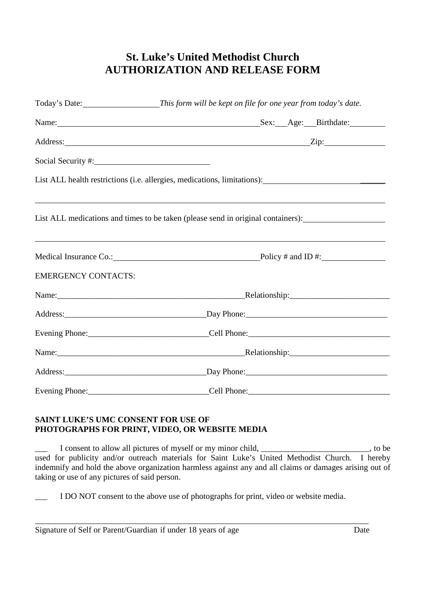## **St. Luke's United Methodist Church AUTHORIZATION AND RELEASE FORM**

|                            | Address: <u>Zip:</u> Zip:                                                                                                                                                                                |  |
|----------------------------|----------------------------------------------------------------------------------------------------------------------------------------------------------------------------------------------------------|--|
| Social Security #: 1997    |                                                                                                                                                                                                          |  |
|                            | List ALL health restrictions (i.e. allergies, medications, limitations): ___________________________                                                                                                     |  |
|                            | <u> 1989 - Andrea Santa Andrea Santa Andrea Santa Andrea Santa Andrea Santa Andrea Santa Andrea Santa Andrea San</u><br>List ALL medications and times to be taken (please send in original containers): |  |
|                            | ,我们也不会有什么?""我们的人,我们也不会有什么?""我们的人,我们也不会有什么?""我们的人,我们也不会有什么?""我们的人,我们也不会有什么?""我们的人<br>Medical Insurance Co.: Policy # and ID #:                                                                            |  |
| <b>EMERGENCY CONTACTS:</b> |                                                                                                                                                                                                          |  |
|                            |                                                                                                                                                                                                          |  |
|                            |                                                                                                                                                                                                          |  |
|                            |                                                                                                                                                                                                          |  |
|                            |                                                                                                                                                                                                          |  |
|                            |                                                                                                                                                                                                          |  |
|                            |                                                                                                                                                                                                          |  |

## **SAINT LUKE'S UMC CONSENT FOR USE OF PHOTOGRAPHS FOR PRINT, VIDEO, OR WEBSITE MEDIA**

I consent to allow all pictures of myself or my minor child, \_\_\_\_\_\_\_\_\_\_\_\_\_\_\_\_\_\_\_\_\_\_\_, to be used for publicity and/or outreach materials for Saint Luke's United Methodist Church. I hereby indemnify and hold the above organization harmless against any and all claims or damages arising out of taking or use of any pictures of said person.

I DO NOT consent to the above use of photographs for print, video or website media.

\_\_\_\_\_\_\_\_\_\_\_\_\_\_\_\_\_\_\_\_\_\_\_\_\_\_\_\_\_\_\_\_\_\_\_\_\_\_\_\_\_\_\_\_\_\_\_\_\_\_\_\_\_\_\_\_\_\_\_\_\_\_\_\_\_\_\_\_\_\_\_\_\_\_\_\_\_\_\_\_